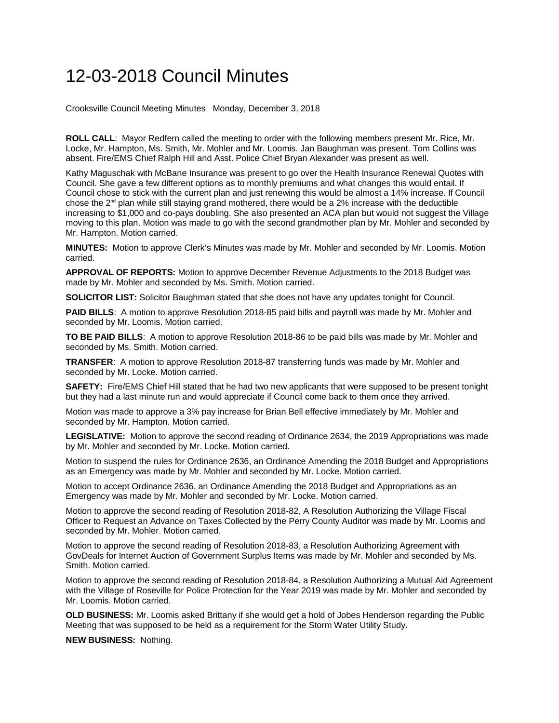## 12-03-2018 Council Minutes

Crooksville Council Meeting Minutes Monday, December 3, 2018

**ROLL CALL**: Mayor Redfern called the meeting to order with the following members present Mr. Rice, Mr. Locke, Mr. Hampton, Ms. Smith, Mr. Mohler and Mr. Loomis. Jan Baughman was present. Tom Collins was absent. Fire/EMS Chief Ralph Hill and Asst. Police Chief Bryan Alexander was present as well.

Kathy Maguschak with McBane Insurance was present to go over the Health Insurance Renewal Quotes with Council. She gave a few different options as to monthly premiums and what changes this would entail. If Council chose to stick with the current plan and just renewing this would be almost a 14% increase. If Council chose the  $2<sup>nd</sup>$  plan while still staying grand mothered, there would be a 2% increase with the deductible increasing to \$1,000 and co-pays doubling. She also presented an ACA plan but would not suggest the Village moving to this plan. Motion was made to go with the second grandmother plan by Mr. Mohler and seconded by Mr. Hampton. Motion carried.

**MINUTES:** Motion to approve Clerk's Minutes was made by Mr. Mohler and seconded by Mr. Loomis. Motion carried.

**APPROVAL OF REPORTS:** Motion to approve December Revenue Adjustments to the 2018 Budget was made by Mr. Mohler and seconded by Ms. Smith. Motion carried.

**SOLICITOR LIST:** Solicitor Baughman stated that she does not have any updates tonight for Council.

**PAID BILLS**: A motion to approve Resolution 2018-85 paid bills and payroll was made by Mr. Mohler and seconded by Mr. Loomis. Motion carried.

**TO BE PAID BILLS**: A motion to approve Resolution 2018-86 to be paid bills was made by Mr. Mohler and seconded by Ms. Smith. Motion carried.

**TRANSFER**: A motion to approve Resolution 2018-87 transferring funds was made by Mr. Mohler and seconded by Mr. Locke. Motion carried.

**SAFETY:** Fire/EMS Chief Hill stated that he had two new applicants that were supposed to be present tonight but they had a last minute run and would appreciate if Council come back to them once they arrived.

Motion was made to approve a 3% pay increase for Brian Bell effective immediately by Mr. Mohler and seconded by Mr. Hampton. Motion carried.

**LEGISLATIVE:** Motion to approve the second reading of Ordinance 2634, the 2019 Appropriations was made by Mr. Mohler and seconded by Mr. Locke. Motion carried.

Motion to suspend the rules for Ordinance 2636, an Ordinance Amending the 2018 Budget and Appropriations as an Emergency was made by Mr. Mohler and seconded by Mr. Locke. Motion carried.

Motion to accept Ordinance 2636, an Ordinance Amending the 2018 Budget and Appropriations as an Emergency was made by Mr. Mohler and seconded by Mr. Locke. Motion carried.

Motion to approve the second reading of Resolution 2018-82, A Resolution Authorizing the Village Fiscal Officer to Request an Advance on Taxes Collected by the Perry County Auditor was made by Mr. Loomis and seconded by Mr. Mohler. Motion carried.

Motion to approve the second reading of Resolution 2018-83, a Resolution Authorizing Agreement with GovDeals for Internet Auction of Government Surplus Items was made by Mr. Mohler and seconded by Ms. Smith. Motion carried.

Motion to approve the second reading of Resolution 2018-84, a Resolution Authorizing a Mutual Aid Agreement with the Village of Roseville for Police Protection for the Year 2019 was made by Mr. Mohler and seconded by Mr. Loomis. Motion carried.

**OLD BUSINESS:** Mr. Loomis asked Brittany if she would get a hold of Jobes Henderson regarding the Public Meeting that was supposed to be held as a requirement for the Storm Water Utility Study.

**NEW BUSINESS:** Nothing.